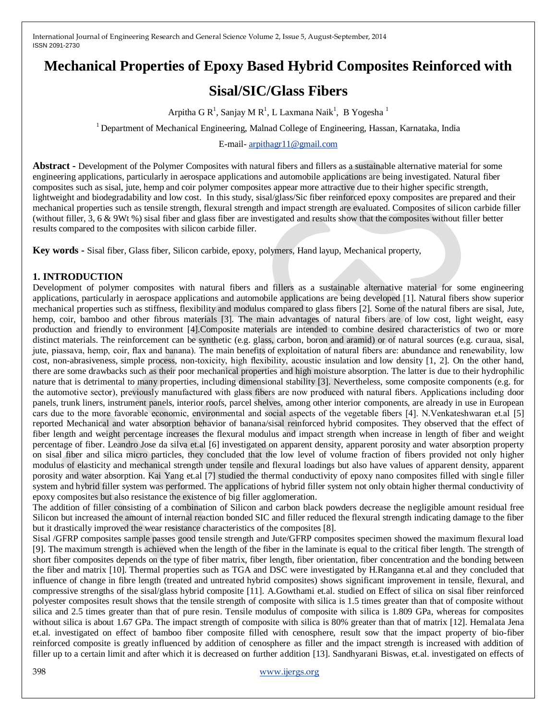# **Mechanical Properties of Epoxy Based Hybrid Composites Reinforced with**

# **Sisal/SIC/Glass Fibers**

Arpitha G R<sup>1</sup>, Sanjay M R<sup>1</sup>, L Laxmana Naik<sup>1</sup>, B Yogesha<sup>1</sup>

<sup>1</sup> Department of Mechanical Engineering, Malnad College of Engineering, Hassan, Karnataka, India

E-mail- [arpithagr11@gmail.com](mailto:arpithagr11@gmail.com)

**Abstract -** Development of the Polymer Composites with natural fibers and fillers as a sustainable alternative material for some engineering applications, particularly in aerospace applications and automobile applications are being investigated. Natural fiber composites such as sisal, jute, hemp and coir polymer composites appear more attractive due to their higher specific strength, lightweight and biodegradability and low cost. In this study, sisal/glass/Sic fiber reinforced epoxy composites are prepared and their mechanical properties such as tensile strength, flexural strength and impact strength are evaluated. Composites of silicon carbide filler (without filler, 3, 6 & 9Wt %) sisal fiber and glass fiber are investigated and results show that the composites without filler better results compared to the composites with silicon carbide filler.

**Key words -** Sisal fiber, Glass fiber, Silicon carbide, epoxy, polymers, Hand layup, Mechanical property,

### **1. INTRODUCTION**

Development of polymer composites with natural fibers and fillers as a sustainable alternative material for some engineering applications, particularly in aerospace applications and automobile applications are being developed [1]. Natural fibers show superior mechanical properties such as stiffness, flexibility and modulus compared to glass fibers [2]. Some of the natural fibers are sisal, Jute, hemp, coir, bamboo and other fibrous materials [3]. The main advantages of natural fibers are of low cost, light weight, easy production and friendly to environment [4].Composite materials are intended to combine desired characteristics of two or more distinct materials. The reinforcement can be synthetic (e.g. glass, carbon, boron and aramid) or of natural sources (e.g. curaua, sisal, jute, piassava, hemp, coir, flax and banana). The main benefits of exploitation of natural fibers are: abundance and renewability, low cost, non-abrasiveness, simple process, non-toxicity, high flexibility, acoustic insulation and low density [1, 2]. On the other hand, there are some drawbacks such as their poor mechanical properties and high moisture absorption. The latter is due to their hydrophilic nature that is detrimental to many properties, including dimensional stability [3]. Nevertheless, some composite components (e.g. for the automotive sector), previously manufactured with glass fibers are now produced with natural fibers. Applications including door panels, trunk liners, instrument panels, interior roofs, parcel shelves, among other interior components, are already in use in European cars due to the more favorable economic, environmental and social aspects of the vegetable fibers [4]. N.Venkateshwaran et.al [5] reported Mechanical and water absorption behavior of banana/sisal reinforced hybrid composites. They observed that the effect of fiber length and weight percentage increases the flexural modulus and impact strength when increase in length of fiber and weight percentage of fiber. Leandro Jose da silva et.al [6] investigated on apparent density, apparent porosity and water absorption property on sisal fiber and silica micro particles, they concluded that the low level of volume fraction of fibers provided not only higher modulus of elasticity and mechanical strength under tensile and flexural loadings but also have values of apparent density, apparent porosity and water absorption. Kai Yang et.al [7] studied the thermal conductivity of epoxy nano composites filled with single filler system and hybrid filler system was performed. The applications of hybrid filler system not only obtain higher thermal conductivity of epoxy composites but also resistance the existence of big filler agglomeration.

The addition of filler consisting of a combination of Silicon and carbon black powders decrease the negligible amount residual free Silicon but increased the amount of internal reaction bonded SIC and filler reduced the flexural strength indicating damage to the fiber but it drastically improved the wear resistance characteristics of the composites [8].

Sisal /GFRP composites sample passes good tensile strength and Jute/GFRP composites specimen showed the maximum flexural load [9]. The maximum strength is achieved when the length of the fiber in the laminate is equal to the critical fiber length. The strength of short fiber composites depends on the type of fiber matrix, fiber length, fiber orientation, fiber concentration and the bonding between the fiber and matrix [10]. Thermal properties such as TGA and DSC were investigated by H.Ranganna et.al and they concluded that influence of change in fibre length (treated and untreated hybrid composites) shows significant improvement in tensile, flexural, and compressive strengths of the sisal/glass hybrid composite [11]. A.Gowthami et.al. studied on Effect of silica on sisal fiber reinforced polyester composites result shows that the tensile strength of composite with silica is 1.5 times greater than that of composite without silica and 2.5 times greater than that of pure resin. Tensile modulus of composite with silica is 1.809 GPa, whereas for composites without silica is about 1.67 GPa. The impact strength of composite with silica is 80% greater than that of matrix [12]. Hemalata Jena et.al. investigated on effect of bamboo fiber composite filled with cenosphere, result sow that the impact property of bio-fiber reinforced composite is greatly influenced by addition of cenosphere as filler and the impact strength is increased with addition of filler up to a certain limit and after which it is decreased on further addition [13]. Sandhyarani Biswas, et.al. investigated on effects of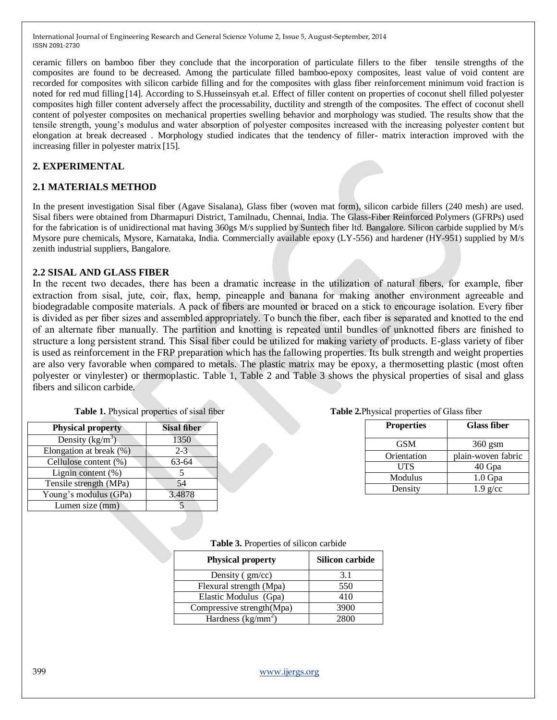ceramic fillers on bamboo fiber they conclude that the incorporation of particulate fillers to the fiber tensile strengths of the composites are found to be decreased. Among the particulate filled bamboo-epoxy composites, least value of void content are recorded for composites with silicon carbide filling and for the composites with glass fiber reinforcement minimum void fraction is noted for red mud filling [14]. According to S.Husseinsyah et.al. Effect of filler content on properties of coconut shell filled polyester composites high filler content adversely affect the processability, ductility and strength of the composites. The effect of coconut shell content of polyester composites on mechanical properties swelling behavior and morphology was studied. The results show that the tensile strength, young's modulus and water absorption of polyester composites increased with the increasing polyester content but elongation at break decreased . Morphology studied indicates that the tendency of filler- matrix interaction improved with the increasing filler in polyester matrix [15].

#### **2. EXPERIMENTAL**

### **2.1 MATERIALS METHOD**

In the present investigation Sisal fiber (Agave Sisalana), Glass fiber (woven mat form), silicon carbide fillers (240 mesh) are used. Sisal fibers were obtained from Dharmapuri District, Tamilnadu, Chennai, India. The Glass-Fiber Reinforced Polymers (GFRPs) used for the fabrication is of unidirectional mat having 360gs M/s supplied by Suntech fiber ltd. Bangalore. Silicon carbide supplied by M/s Mysore pure chemicals, Mysore, Karnataka, India. Commercially available epoxy (LY-556) and hardener (HY-951) supplied by M/s zenith industrial suppliers, Bangalore.

#### **2.2 SISAL AND GLASS FIBER**

In the recent two decades, there has been a dramatic increase in the utilization of natural fibers, for example, fiber extraction from sisal, jute, coir, flax, hemp, pineapple and banana for making another environment agreeable and biodegradable composite materials. A pack of fibers are mounted or braced on a stick to encourage isolation. Every fiber is divided as per fiber sizes and assembled appropriately. To bunch the fiber, each fiber is separated and knotted to the end of an alternate fiber manually. The partition and knotting is repeated until bundles of unknotted fibers are finished to structure a long persistent strand. This Sisal fiber could be utilized for making variety of products. E-glass variety of fiber is used as reinforcement in the FRP preparation which has the fallowing properties. Its bulk strength and weight properties are also very favorable when compared to metals. The plastic matrix may be epoxy, a thermosetting plastic (most often polyester or vinylester) or thermoplastic. Table 1, Table 2 and Table 3 shows the physical properties of sisal and glass fibers and silicon carbide.

| <b>Physical property</b> | <b>Sisal fiber</b> |
|--------------------------|--------------------|
| Density $(kg/m^3)$       | 1350               |
| Elongation at break (%)  | $2 - 3$            |
| Cellulose content (%)    | 63-64              |
| Lignin content $(\% )$   |                    |
| Tensile strength (MPa)   | 54                 |
| Young's modulus (GPa)    | 3.4878             |
| Lumen size (mm)          |                    |

#### **Table 2.** Physical properties of Glass fiber

| <b>Properties</b> | <b>Glass fiber</b> |
|-------------------|--------------------|
| <b>GSM</b>        | $360$ gsm          |
| Orientation       | plain-woven fabric |
| UTS               | 40 Gpa             |
| Modulus           | $1.0$ Gpa          |
| Density           | $1.9$ g/cc         |

#### **Table 3.** Properties of silicon carbide

| <b>Physical property</b>  | Silicon carbide |
|---------------------------|-----------------|
| Density $(gm/cc)$         | 3.1             |
| Flexural strength (Mpa)   | 550             |
| Elastic Modulus (Gpa)     | 410             |
| Compressive strength(Mpa) | 3900            |
| Hardness ( $kg/mm^2$ )    |                 |

399 [www.ijergs.org](http://www.ijergs.org/)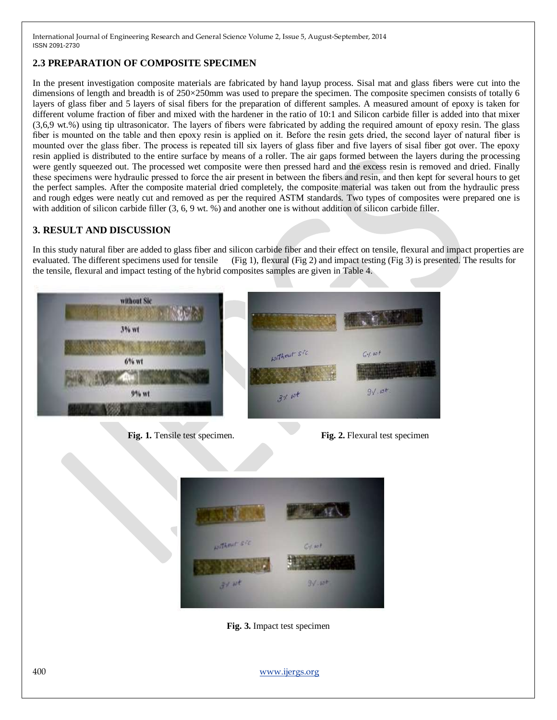# **2.3 PREPARATION OF COMPOSITE SPECIMEN**

In the present investigation composite materials are fabricated by hand layup process. Sisal mat and glass fibers were cut into the dimensions of length and breadth is of 250×250mm was used to prepare the specimen. The composite specimen consists of totally 6 layers of glass fiber and 5 layers of sisal fibers for the preparation of different samples. A measured amount of epoxy is taken for different volume fraction of fiber and mixed with the hardener in the ratio of 10:1 and Silicon carbide filler is added into that mixer (3,6,9 wt.%) using tip ultrasonicator. The layers of fibers were fabricated by adding the required amount of epoxy resin. The glass fiber is mounted on the table and then epoxy resin is applied on it. Before the resin gets dried, the second layer of natural fiber is mounted over the glass fiber. The process is repeated till six layers of glass fiber and five layers of sisal fiber got over. The epoxy resin applied is distributed to the entire surface by means of a roller. The air gaps formed between the layers during the processing were gently squeezed out. The processed wet composite were then pressed hard and the excess resin is removed and dried. Finally these specimens were hydraulic pressed to force the air present in between the fibers and resin, and then kept for several hours to get the perfect samples. After the composite material dried completely, the composite material was taken out from the hydraulic press and rough edges were neatly cut and removed as per the required ASTM standards. Two types of composites were prepared one is with addition of silicon carbide filler (3, 6, 9 wt. %) and another one is without addition of silicon carbide filler.

# **3. RESULT AND DISCUSSION**

In this study natural fiber are added to glass fiber and silicon carbide fiber and their effect on tensile, flexural and impact properties are evaluated. The different specimens used for tensile (Fig 1), flexural (Fig 2) and impact testing (Fig 3) is presented. The results for the tensile, flexural and impact testing of the hybrid composites samples are given in Table 4.



**Fig. 1.** Tensile test specimen. **Fig. 2.** Flexural test specimen



**Fig. 3.** Impact test specimen

400 [www.ijergs.org](http://www.ijergs.org/)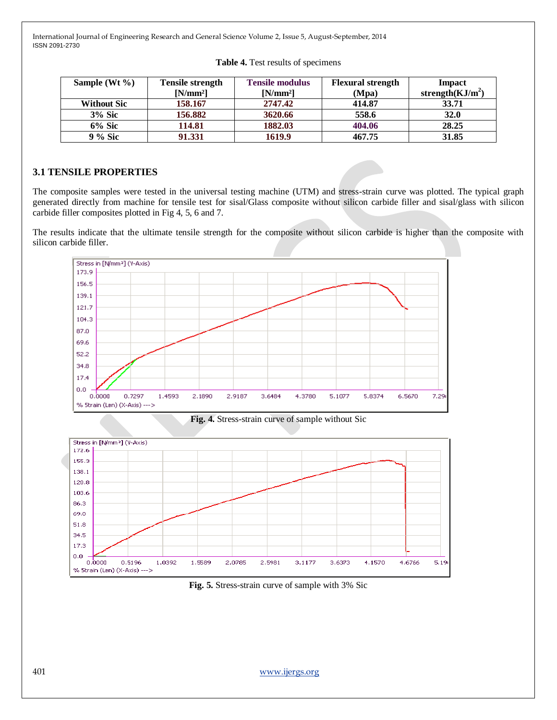| Sample (Wt $\%$ )  | <b>Tensile strength</b> | <b>Tensile modulus</b> | <b>Flexural strength</b> | Impact             |
|--------------------|-------------------------|------------------------|--------------------------|--------------------|
|                    | $[N/mm^2]$              | $[N/mm^2]$             | (Mpa)                    | strength $(KJ/m2)$ |
| <b>Without Sic</b> | 158.167                 | 2747.42                | 414.87                   | 33.71              |
| <b>3% Sic</b>      | 156.882                 | 3620.66                | 558.6                    | 32.0               |
| $6\%$ Sic          | 114.81                  | 1882.03                | 404.06                   | 28.25              |
| 9 % Sic            | 91.331                  | 1619.9                 | 467.75                   | 31.85              |

|  |  | Table 4. Test results of specimens |
|--|--|------------------------------------|
|  |  |                                    |

#### **3.1 TENSILE PROPERTIES**

The composite samples were tested in the universal testing machine (UTM) and stress-strain curve was plotted. The typical graph generated directly from machine for tensile test for sisal/Glass composite without silicon carbide filler and sisal/glass with silicon carbide filler composites plotted in Fig 4, 5, 6 and 7.

The results indicate that the ultimate tensile strength for the composite without silicon carbide is higher than the composite with silicon carbide filler.







**Fig. 5.** Stress-strain curve of sample with 3% Sic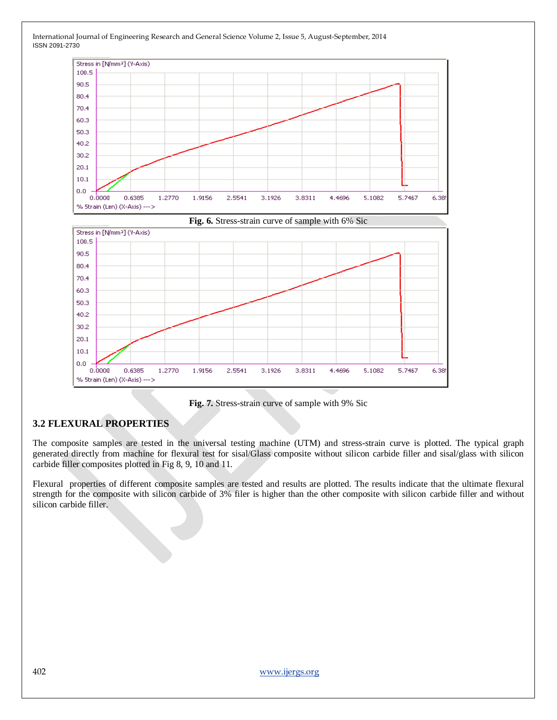

International Journal of Engineering Research and General Science Volume 2, Issue 5, August-September, 2014 ISSN 2091-2730

**Fig. 7.** Stress-strain curve of sample with 9% Sic

# **3.2 FLEXURAL PROPERTIES**

The composite samples are tested in the universal testing machine (UTM) and stress-strain curve is plotted. The typical graph generated directly from machine for flexural test for sisal/Glass composite without silicon carbide filler and sisal/glass with silicon carbide filler composites plotted in Fig 8, 9, 10 and 11.

Flexural properties of different composite samples are tested and results are plotted. The results indicate that the ultimate flexural strength for the composite with silicon carbide of 3% filer is higher than the other composite with silicon carbide filler and without silicon carbide filler.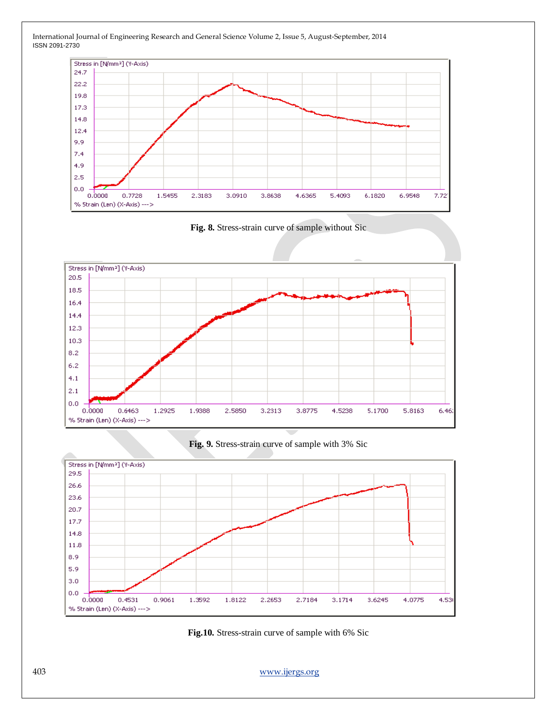









**Fig.10.** Stress-strain curve of sample with 6% Sic

403 [www.ijergs.org](http://www.ijergs.org/)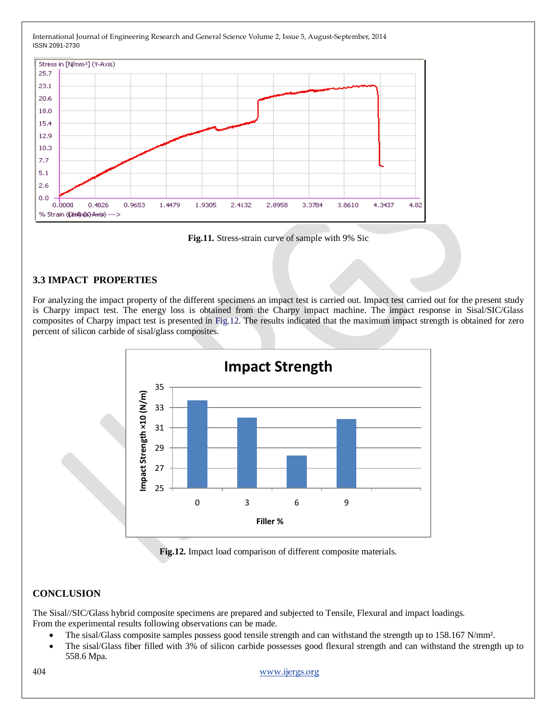

**Fig.11.** Stress-strain curve of sample with 9% Sic

# **3.3 IMPACT PROPERTIES**

For analyzing the impact property of the different specimens an impact test is carried out. Impact test carried out for the present study is Charpy impact test. The energy loss is obtained from the Charpy impact machine. The impact response in Sisal/SIC/Glass composites of Charpy impact test is presented in Fig.12. The results indicated that the maximum impact strength is obtained for zero percent of silicon carbide of sisal/glass composites.



**Fig.12.** Impact load comparison of different composite materials.

# **CONCLUSION**

The Sisal//SIC/Glass hybrid composite specimens are prepared and subjected to Tensile, Flexural and impact loadings. From the experimental results following observations can be made.

- The sisal/Glass composite samples possess good tensile strength and can withstand the strength up to 158.167 N/mm<sup>2</sup>.
- The sisal/Glass fiber filled with 3% of silicon carbide possesses good flexural strength and can withstand the strength up to 558.6 Mpa.